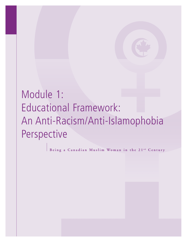# Module 1: Educational Framework: An Anti-Racism/Anti-Islamophobia Perspective

Being a Canadian Muslim Woman in the 21<sup>st</sup> Century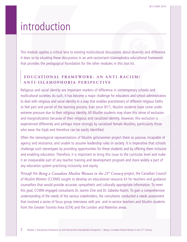## introduction

This module applies a critical lens to existing multicultural discussions about diversity and difference. It does so by situating these discussions in an anti-racism/anti-Islamophobia educational framework that provides the pedagogical foundation for the other modules in this tool kit.

### **E D U C AT I O N A L F R A M E W O R K : A N A N T I - R A C I S M / A N T I - I S L A M O P H O B I A P E R S P E C T I V E**

Religious and racial identity are important markers of difference in contemporary schools and multicultural societies. As such, it has become a major challenge for educators and school administrators to deal with religious and racial identity in a way that enables practitioners of different religious faiths to feel part and parcel of the learning process. Ever since 9/11, Muslim students have come under extreme pressure due to their religious identity. All Muslim students may share this sense of exclusion and marginalization because of their religious and racialized identity. However, this exclusion is experienced differently and perhaps more strongly by racialized female Muslims, particularly those who wear the hijab and therefore can be easily identified.

Often the stereotypical representations of Muslim girls/women project them as passive, incapable of agency and resistance, and unable to assume leadership roles in society. It is imperative that schools challenge such stereotypes by providing opportunities for these students and by offering them inclusive and enabling education. Therefore, it is important to bring this issue to the curricular level and make it an inseparable part of any teacher training and development program and more widely a part of any education system practising inclusivity and equity.

Through the *Being a Canadian Muslim Woman in the 21st Century* project, the Canadian Council of Muslim Women (CCMW) sought to develop an educational resource kit for teachers and guidance counsellors that would provide accurate, sympathetic and culturally appropriate information. To meet this goal, CCMW engaged consultants Dr. Jasmin Zine and Dr. Zabedia Nazim. To gain a comprehensive understanding of the needs of the various stakeholders, the consultants conducted a needs assessment that involved a series of focus group interviews with pre- and in-service teachers and Muslim students from the Greater Toronto Area (GTA) and the London and Waterloo areas.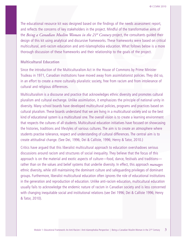The educational resource kit was designed based on the findings of the needs assessment report, and reflects the concerns of key stakeholders in the project. Mindful of the transformative aims of the *Being a Canadian Muslim Woman in the 21st Century* project, the consultants guided their design of this kit using analytical and discursive frameworks. These frameworks were based on critical multicultural, anti-racism education and anti-Islamophobia education. What follows below is a more thorough discussion of these frameworks and their relationship to the goals of the project.

#### **Multicultural Education**

Since the introduction of the Multiculturalism Act in the House of Commons by Prime Minister Trudeau in 1971, Canadian institutions have moved away from assimilationist policies. They did so, in an effort to create a more culturally pluralistic society, free from racism and from intolerance of cultural and religious differences.

Multiculturalism is a discourse and practice that acknowledges ethnic diversity and promotes cultural pluralism and cultural exchange. Unlike assimilation, it emphasizes the principle of national unity in diversity. Many school boards have developed multicultural policies, programs and practices based on cultural pluralism. These boards understand that we are living in a multicultural society and so the best kind of educational system is a multicultural one. The overall vision is to create a learning environment that respects the cultures of all students. Multicultural education initiatives have focused on showcasing the histories, traditions and lifestyles of various cultures. The aim is to create an atmosphere where students practise tolerance, respect and understanding of cultural differences. The central aim is to create attitudinal change. (See Dei, 1996; Dei & Calliste, 1996; Henry & Tator, 2010.)

Critics have argued that this liberalist multicultural approach to education overshadows serious discussions around racism and structures of social inequality. They believe that the focus of this approach is on the material and exotic aspects of culture—food, dance, festivals and traditions rather than on the values and belief systems that underlie diversity. In effect, this approach *manages* ethnic diversity, while still maintaining the dominant culture and safeguarding privileges of dominant groups. Furthermore, liberalist multicultural education often ignores the role of educational institutions in the generation and reproduction of education. Unlike anti-racism education, multicultural education usually fails to acknowledge the endemic nature of racism in Canadian society and is less concerned with changing inequitable social and institutional relations (see Dei 1996; Dei & Calliste 1996; Henry & Tator, 2010).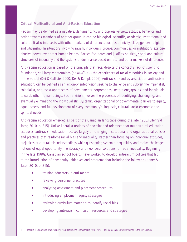#### **Critical Multicultural and Anti-Racism Education**

Racism may be defined as a negative, dehumanizing, and oppressive view, attitude, behavior and action towards members of another group. It can be biological, scientific, academic, institutional and cultural. It also intersects with other markers of difference, such as ethnicity, class, gender, religion, and citizenship. In situations involving racism, individuals, groups, communities, or institutions exercise abusive power over other human beings. Racism facilitates and justifies political, social and cultural structures of inequality and the systems of dominance based on race and other markers of difference.

Anti-racism education is based on the principle that race, despite the concept's lack of scientific foundation, still largely determines (or *mediates*) the experiences of racial minorities in society and in the school (Dei & Calliste, 2000; Dei & Kempf, 2006). Anti-racism (and by association anti-racism education) can be defined as an action-oriented vision seeking to challenge and subvert the imperialist, colonialist, and racist approaches of governments, corporations, institutions, groups, and individuals towards other human beings. Such a vision involves the processes of identifying, challenging, and eventually eliminating the individualistic, systemic, organizational or governmental barriers to equity, equal access, and full development of every community's linguistic, cultural, socio-economic and spiritual needs.

Anti-racism education emerged as part of the Canadian landscape during the late 1980s (Henry & Tator, 2010, p. 215). Unlike liberalist notions of diversity and tolerance that multicultural education espouses, anti-racism education focuses largely on changing institutional and organizational policies and practices that reinforce racial bias and inequality. Rather than focusing on individual attitudes, prejudices or cultural misunderstandings while questioning systemic inequalities, anti-racism challenges notions of equal opportunity, meritocracy and neoliberal solutions for racial inequality. Beginning in the late 1980s, Canadian school boards have worked to develop anti-racism policies that led to the introduction of new equity initiatives and programs that included the following (Henry & Tator, 2010, p. 215):

- training educators in anti-racism
- reviewing personnel practices
- analyzing assessment and placement procedures
- introducing employment equity strategies
- reviewing curriculum materials to identify racial bias
- developing anti-racism curriculum resources and strategies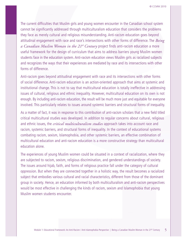The current difficulties that Muslim girls and young women encounter in the Canadian school system cannot be significantly addressed through multiculturalism education that considers the problems they face as merely cultural and religious misunderstanding. Anti-racism education goes beyond attitudinal engagement with race and race's intersections with other forms of difference. The *Being a Canadian Muslim Woman in the 21st Century* project finds anti-racism education a more useful framework for the design of curriculum that aims to address barriers young Muslim women students face in the education system. Anti-racism education views Muslim girls as racialized subjects and recognizes the ways that their experiences are mediated by race and its intersections with other forms of difference.

Anti-racism goes beyond attitudinal engagement with race and its intersections with other forms of social difference. Anti-racism education is an action-oriented approach that aims at systemic and institutional change. This is not to say that multicultural education is totally ineffective in addressing issues of cultural, religious and ethnic inequality. However, multicultural education on its own is not enough. By including anti-racism education, the result will be much more just and equitable for everyone involved. This particularly relates to issues around systemic barriers and structural forms of inequality.

As a matter of fact, it was in response to this contribution of anti-racism scholars that a new field titled critical multicultural studies was developed. In addition to regular concerns about cultural, religious and ethnic issues, the *critical multiculturalism studies* approach takes into account race and racism, systemic barriers, and structural forms of inequality. In the context of educational systems combating racism, sexism, Islamophobia, and other systemic barriers, an effective combination of multicultural education and anti-racism education is a more constructive strategy than multicultural education alone.

The experiences of young Muslim women could be situated in a context of racialization, where they are subjected to racism, sexism, religious discrimination, and gendered understandings of society. The issues around hijab, faith, and forms of religious practice fall under the category of cultural oppression. But when they are connected together in a holistic way, the result becomes a racialized subject that embodies various cultural and racial characteristics, different from those of the dominant group in society. Hence, an education informed by both multiculturalism and anti-racism perspectives would be most effective in challenging the kinds of racism, sexism and Islamophobia that young Muslim women students encounter.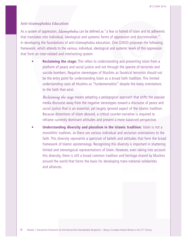#### **Anti-Islamophobia Education**

As a system of oppression, *Islamophobia* can be defined as "a fear or hatred of Islam and its adherents that translates into individual, ideological and systemic forms of oppression and discrimination." In developing the foundations of anti-Islamophobia education, Zine (2003) proposes the following framework, which attends to the various, individual, ideological and systemic levels of this oppression that form an inter-related and interlocking system:

• **Reclaiming the stage:** This refers to understanding and presenting Islam from a platform of peace and social justice and not through the spectre of terrorists and suicide bombers. Negative stereotypes of Muslims as fanatical terrorists should not be the entry point for understanding Islam as a broad faith tradition. This limited understanding casts all Muslims as "fundamentalists" despite the many orientations to the faith that exist.

*Reclaiming the stage* means adopting a pedagogical approach that shifts the popular media discourse away from the negative stereotypes toward a discourse of peace and social justice that is an essential, yet largely ignored aspect of the Islamic tradition. Because distortions of Islam abound, a critical counter-narrative is required to reframe currently dominant attitudes and present a more balanced perspective.

• **Understanding diversity and pluralism in the Islamic tradition:** Islam is not a monolithic tradition, as there are various individual and sectarian orientations to the faith. This diversity represents a spectrum of beliefs and attitudes that form the broad framework of Islamic epistemology. Recognizing this diversity is important in shattering limited and stereotypical representations of Islam. However, even taking into account this diversity, there is still a broad common tradition and heritage shared by Muslims around the world that forms the basis for developing trans-national solidarities and alliances.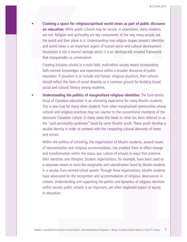• **Claiming a space for religious/spiritual world views as part of public discourse on education:** While public schools may be secular in orientation, many students are not. Religion and spirituality are key components of the way many people see the world and their place in it. Understanding how religion shapes people's identities and world views is an important aspect of human social and cultural development. Secularism is not a neutral vantage point; it is an ideologically situated framework that masquerades as universalism.

Creating inclusive schools in a multi-faith, multi-ethnic society means incorporating faith-centred knowledges and experiences within a broader discourse of public education. If pluralism is to include and honour religious pluralism, then schools should reflect this form of social diversity as a common ground for building broad social and cultural literacy among students.

• **Understanding the politics of marginalized religious identities:** The Euro-centric focus of Canadian education is an alienating experience for many Muslim students. This is also true for many other students from other marginalized communities whose cultural and religious practices may run counter to the conventional standards of the dominant Canadian culture. In many cases this leads to what has been referred to as the "split-personality syndrome" faced by some Muslim youth. These youth develop a double identity in order to contend with the competing cultural demands of home and school.

Within the politics of schooling, the organization of Muslim students, around issues of representation and religious accommodation, has enabled them to effect change and transformation within the status quo culture of schools in ways that preserve their identities and lifestyles. Student organizations, for example, have been used as a corporate means to resist the marginality and subordination faced by Muslim students in a secular, Euro-centred school system. Through these organizations, Muslim students have advocated for the recognition and accommodation of religious observances in schools. Understanding and supporting the politics and dynamics of religious identities within secular public schools is an important, yet often neglected aspect of equity in education.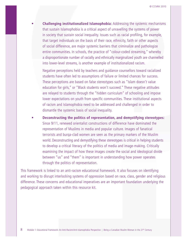• **Challenging institutionalized Islamophobia:** Addressing the systemic mechanisms that sustain Islamophobia is a critical aspect of unravelling the systems of power in society that sustain social inequality. Issues such as racial profiling, for example, that target individuals on the basis of their race, ethnicity, faith or other aspects of social difference, are major systemic barriers that criminalize and pathologize entire communities. In schools, the practice of "colour-coded streaming," whereby a disproportionate number of racially and ethnically marginalized youth are channelled into lower-level streams, is another example of institutionalized racism.

Negative perceptions held by teachers and guidance counsellors toward racialized students have often led to assumptions of failure or limited chances for success. These perceptions are based on false stereotypes such as "Islam doesn't value education for girls," or "Black students won't succeed." These negative attitudes are relayed to students through the "hidden curriculum" of schooling and impose lower expectations on youth from specific communities. These institutional aspects of racism and Islamophobia need to be addressed and challenged in order to dismantle the systemic basis of social inequality.

• **Deconstructing the politics of representation, and demystifying stereotypes:** Since 9/11, renewed orientalist constructions of difference have dominated the representation of Muslims in media and popular culture. Images of fanatical terrorists and burqa-clad women are seen as the primary markers of the Muslim world. Deconstructing and demystifying these stereotypes is critical in helping students to develop a critical literacy of the politics of media and image-making. Critically examining the impact of how these images create the social and ideological divide between "us" and "them" is important in understanding how power operates through the politics of representation.

This framework is linked to an anti-racism educational framework. It also focuses on identifying and working to disrupt interlocking systems of oppression based on race, class, gender and religious difference. These concerns and educational imperatives are an important foundation underlying the pedagogical approach taken within this resource kit.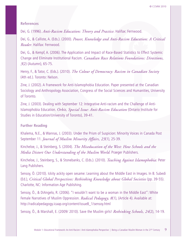#### **References**

Dei, G. (1996). *Anti-Racism Education: Theory and Practice*. Halifax: Fernwood.

Dei, G., & Calliste, A. (Eds.). (2000). *Power, Knowledge and Anti-Racism Education: A Critical Reader*. Halifax: Fernwood.

Dei, G., & Kempf, A. (2006). The Application and Impact of Race-Based Statistics to Effect Systemic Change and Eliminate Institutional Racism. *Canadian Race Relations Foundations: Directions, 3*(2) (Autumn), 65-75.

Henry, F., & Tator, C. (Eds.). (2010). *The Colour of Democracy: Racism in Canadian Society* (4th ed.). Toronto: Nelson.

Zine, J. (2002). A Framework for Anti-Islamophobia Education. Paper presented at the Canadian Sociology and Anthropology Association, Congress of the Social Sciences and Humanities, University of Toronto.

Zine, J. (2003). Dealing with September 12: Integrative Anti-racism and the Challenge of Anti-Islamophobia Education. *Orbit, Special Issue: Anti-Racism Education* (Ontario Institute for Studies in Education/University of Toronto), 39-41.

#### **Further Reading**

Khalema, N.E., & Wannas, J. (2003). Under the Prism of Suspicion: Minority Voices in Canada Post September 11. *Journal of Muslim Minority Affairs, 23*(1), 25-39.

Kincheloe, J., & Steinberg, S. (2004). *The Miseducation of the West: How Schools and the Media Distort Our Understanding of the Muslim World*. Praeger Publishers.

Kincheloe, J., Steinberg, S., & Stonebanks, C. (Eds.). (2010). *Teaching Against Islamophobia:* Peter Lang Publishers.

Sensoy, Ö. (2010). Ickity ackity open sesame: Learning about the Middle East in Images. In B. Subedi (Ed.), *Critical Global Perspectives: Rethinking Knowledge about Global Societies* (pp. 39-55). Charlotte, NC: Information Age Publishing.

Sensoy, Ö., & DiAngelo, R. (2006). "I wouldn't want to be a woman in the Middle East": White Female Narratives of Muslim Oppression. *Radical Pedagogy, 8*(1), (Article 4). Available at: http://radicalpedagogy.icaap.org/content/issue8\_1/sensoy.html

Sensoy, Ö., & Marshall, E. (2009/ 2010). Save the Muslim girls! *Rethinking Schools, 24*(2), 14-19.